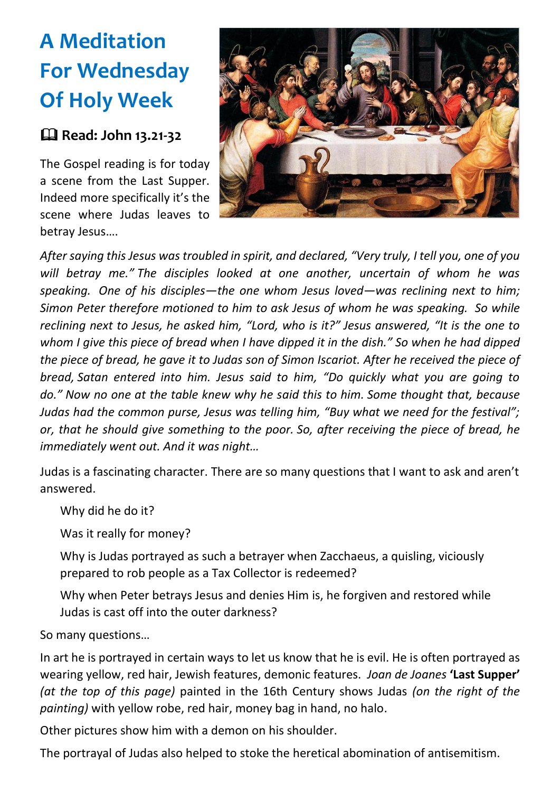## **A Meditation For Wednesday Of Holy Week**

## **Read: John 13.21-32**

The Gospel reading is for today a scene from the Last Supper. Indeed more specifically it's the scene where Judas leaves to betray Jesus….



*After saying this Jesus was troubled in spirit, and declared, "Very truly, I tell you, one of you will betray me." The disciples looked at one another, uncertain of whom he was speaking. One of his disciples—the one whom Jesus loved—was reclining next to him; Simon Peter therefore motioned to him to ask Jesus of whom he was speaking. So while reclining next to Jesus, he asked him, "Lord, who is it?" Jesus answered, "It is the one to whom I give this piece of bread when I have dipped it in the dish." So when he had dipped the piece of bread, he gave it to Judas son of Simon Iscariot. After he received the piece of bread, Satan entered into him. Jesus said to him, "Do quickly what you are going to do." Now no one at the table knew why he said this to him. Some thought that, because Judas had the common purse, Jesus was telling him, "Buy what we need for the festival"; or, that he should give something to the poor. So, after receiving the piece of bread, he immediately went out. And it was night…*

Judas is a fascinating character. There are so many questions that I want to ask and aren't answered.

Why did he do it?

Was it really for money?

Why is Judas portrayed as such a betrayer when Zacchaeus, a quisling, viciously prepared to rob people as a Tax Collector is redeemed?

Why when Peter betrays Jesus and denies Him is, he forgiven and restored while Judas is cast off into the outer darkness?

So many questions…

In art he is portrayed in certain ways to let us know that he is evil. He is often portrayed as wearing yellow, red hair, Jewish features, demonic features. *Joan de Joanes* **'Last Supper'** *(at the top of this page)* painted in the 16th Century shows Judas *(on the right of the painting)* with yellow robe, red hair, money bag in hand, no halo.

Other pictures show him with a demon on his shoulder.

The portrayal of Judas also helped to stoke the heretical abomination of antisemitism.